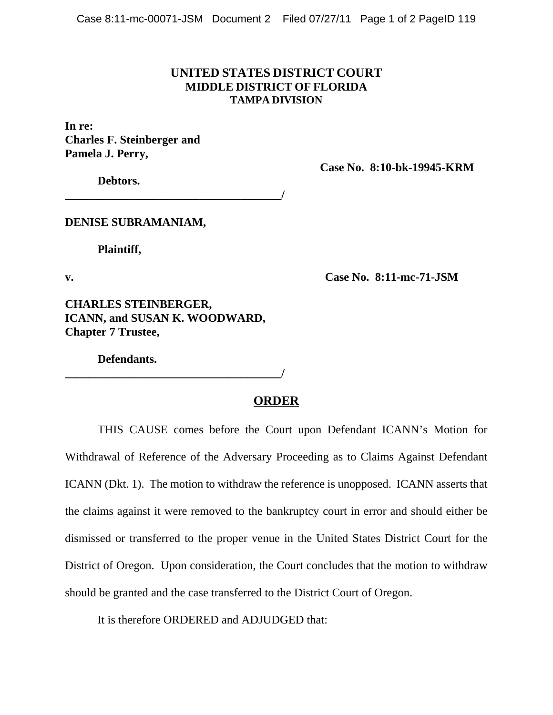## **UNITED STATES DISTRICT COURT MIDDLE DISTRICT OF FLORIDA TAMPA DIVISION**

**In re: Charles F. Steinberger and Pamela J. Perry,**

**Case No. 8:10-bk-19945-KRM** 

**Debtors.**

**\_\_\_\_\_\_\_\_\_\_\_\_\_\_\_\_\_\_\_\_\_\_\_\_\_\_\_\_\_\_\_\_\_\_\_\_\_/** 

**DENISE SUBRAMANIAM,**

**Plaintiff,**

**v. Case No. 8:11-mc-71-JSM** 

**CHARLES STEINBERGER, ICANN, and SUSAN K. WOODWARD, Chapter 7 Trustee,**

**Defendants.**

**\_\_\_\_\_\_\_\_\_\_\_\_\_\_\_\_\_\_\_\_\_\_\_\_\_\_\_\_\_\_\_\_\_\_\_\_\_/** 

## **ORDER**

THIS CAUSE comes before the Court upon Defendant ICANN's Motion for Withdrawal of Reference of the Adversary Proceeding as to Claims Against Defendant ICANN (Dkt. 1). The motion to withdraw the reference is unopposed. ICANN asserts that the claims against it were removed to the bankruptcy court in error and should either be dismissed or transferred to the proper venue in the United States District Court for the District of Oregon. Upon consideration, the Court concludes that the motion to withdraw should be granted and the case transferred to the District Court of Oregon.

It is therefore ORDERED and ADJUDGED that: